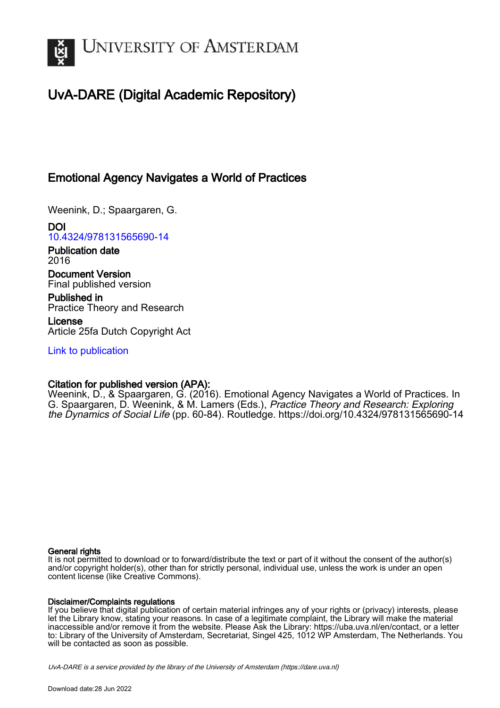

# UvA-DARE (Digital Academic Repository)

# Emotional Agency Navigates a World of Practices

Weenink, D.; Spaargaren, G.

DOI [10.4324/978131565690-14](https://doi.org/10.4324/978131565690-14)

Publication date 2016

Document Version Final published version

Published in Practice Theory and Research

License Article 25fa Dutch Copyright Act

[Link to publication](https://dare.uva.nl/personal/pure/en/publications/emotional-agency-navigates-a-world-of-practices(d6022c17-a229-4104-912d-036b67d6b5a9).html)

## Citation for published version (APA):

Weenink, D., & Spaargaren, G. (2016). Emotional Agency Navigates a World of Practices. In G. Spaargaren, D. Weenink, & M. Lamers (Eds.), Practice Theory and Research: Exploring the Dynamics of Social Life (pp. 60-84). Routledge. <https://doi.org/10.4324/978131565690-14>

## General rights

It is not permitted to download or to forward/distribute the text or part of it without the consent of the author(s) and/or copyright holder(s), other than for strictly personal, individual use, unless the work is under an open content license (like Creative Commons).

## Disclaimer/Complaints regulations

If you believe that digital publication of certain material infringes any of your rights or (privacy) interests, please let the Library know, stating your reasons. In case of a legitimate complaint, the Library will make the material inaccessible and/or remove it from the website. Please Ask the Library: https://uba.uva.nl/en/contact, or a letter to: Library of the University of Amsterdam, Secretariat, Singel 425, 1012 WP Amsterdam, The Netherlands. You will be contacted as soon as possible.

UvA-DARE is a service provided by the library of the University of Amsterdam (http*s*://dare.uva.nl)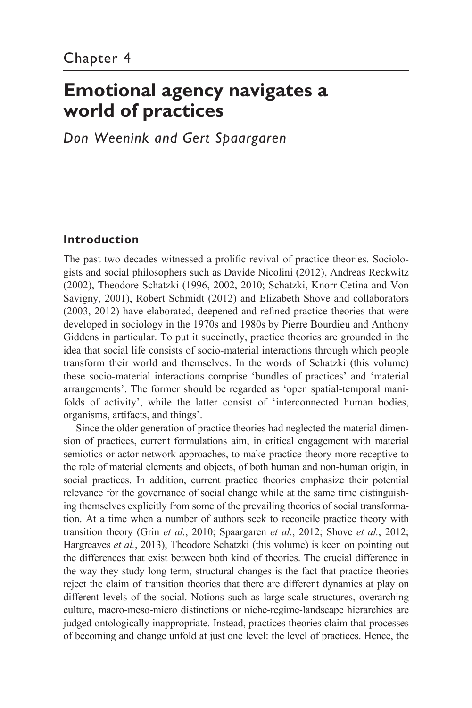# **Emotional agency navigates a world of practices**

*Don Weenink and Gert Spaargaren*

## **Introduction**

The past two decades witnessed a prolific revival of practice theories. Sociologists and social philosophers such as Davide Nicolini (2012), Andreas Reckwitz (2002), Theodore Schatzki (1996, 2002, 2010; Schatzki, Knorr Cetina and Von Savigny, 2001), Robert Schmidt (2012) and Elizabeth Shove and collaborators (2003, 2012) have elaborated, deepened and refined practice theories that were developed in sociology in the 1970s and 1980s by Pierre Bourdieu and Anthony Giddens in particular. To put it succinctly, practice theories are grounded in the idea that social life consists of socio- material interactions through which people transform their world and themselves. In the words of Schatzki (this volume) these socio- material interactions comprise 'bundles of practices' and 'material arrangements'. The former should be regarded as 'open spatial- temporal manifolds of activity', while the latter consist of 'interconnected human bodies, organisms, artifacts, and things'.

 Since the older generation of practice theories had neglected the material dimension of practices, current formulations aim, in critical engagement with material semiotics or actor network approaches, to make practice theory more receptive to the role of material elements and objects, of both human and non- human origin, in social practices. In addition, current practice theories emphasize their potential relevance for the governance of social change while at the same time distinguishing themselves explicitly from some of the prevailing theories of social transformation. At a time when a number of authors seek to reconcile practice theory with transition theory (Grin *et al.*, 2010; Spaargaren *et al.*, 2012; Shove *et al.*, 2012; Hargreaves *et al.*, 2013), Theodore Schatzki (this volume) is keen on pointing out the differences that exist between both kind of theories. The crucial difference in the way they study long term, structural changes is the fact that practice theories reject the claim of transition theories that there are different dynamics at play on different levels of the social. Notions such as large- scale structures, overarching culture, macro- meso-micro distinctions or niche- regime-landscape hierarchies are judged ontologically inappropriate. Instead, practices theories claim that processes of becoming and change unfold at just one level: the level of practices. Hence, the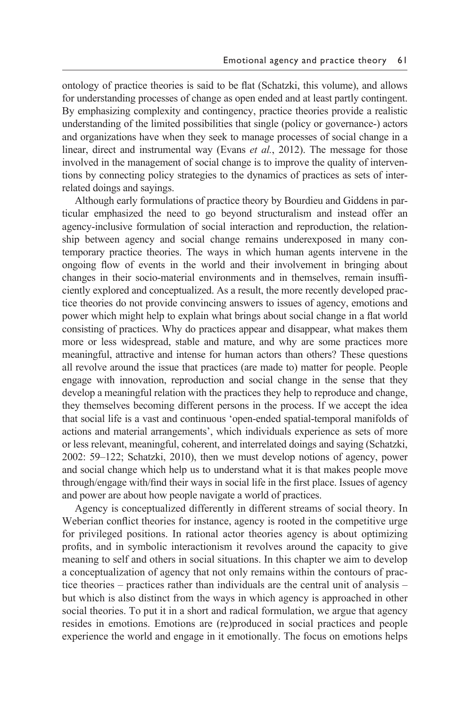ontology of practice theories is said to be flat (Schatzki, this volume), and allows for understanding processes of change as open ended and at least partly contingent. By emphasizing complexity and contingency, practice theories provide a realistic understanding of the limited possibilities that single (policy or governance-) actors and organizations have when they seek to manage processes of social change in a linear, direct and instrumental way (Evans *et al.*, 2012). The message for those involved in the management of social change is to improve the quality of interventions by connecting policy strategies to the dynamics of practices as sets of interrelated doings and sayings.

 Although early formulations of practice theory by Bourdieu and Giddens in particular emphasized the need to go beyond structuralism and instead offer an agency- inclusive formulation of social interaction and reproduction, the relationship between agency and social change remains underexposed in many contemporary practice theories. The ways in which human agents intervene in the ongoing flow of events in the world and their involvement in bringing about changes in their socio-material environments and in themselves, remain insufficiently explored and conceptualized. As a result, the more recently developed practice theories do not provide convincing answers to issues of agency, emotions and power which might help to explain what brings about social change in a flat world consisting of practices. Why do practices appear and disappear, what makes them more or less widespread, stable and mature, and why are some practices more meaningful, attractive and intense for human actors than others? These questions all revolve around the issue that practices (are made to) matter for people. People engage with innovation, reproduction and social change in the sense that they develop a meaningful relation with the practices they help to reproduce and change, they themselves becoming different persons in the process. If we accept the idea that social life is a vast and continuous 'open- ended spatial- temporal manifolds of actions and material arrangements', which individuals experience as sets of more or less relevant, meaningful, coherent, and interrelated doings and saying (Schatzki, 2002: 59–122; Schatzki, 2010), then we must develop notions of agency, power and social change which help us to understand what it is that makes people move through/engage with/find their ways in social life in the first place. Issues of agency and power are about how people navigate a world of practices.

 Agency is conceptualized differently in different streams of social theory. In Weberian conflict theories for instance, agency is rooted in the competitive urge for privileged positions. In rational actor theories agency is about optimizing profits, and in symbolic interactionism it revolves around the capacity to give meaning to self and others in social situations. In this chapter we aim to develop a conceptualization of agency that not only remains within the contours of practice theories – practices rather than individuals are the central unit of analysis – but which is also distinct from the ways in which agency is approached in other social theories. To put it in a short and radical formulation, we argue that agency resides in emotions. Emotions are (re)produced in social practices and people experience the world and engage in it emotionally. The focus on emotions helps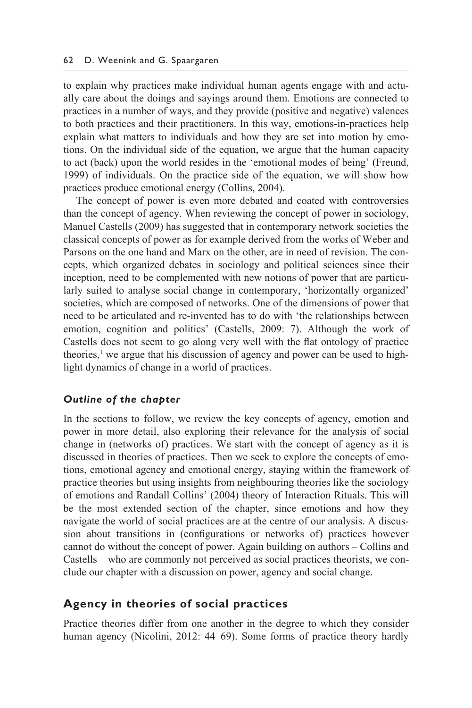to explain why practices make individual human agents engage with and actually care about the doings and sayings around them. Emotions are connected to practices in a number of ways, and they provide (positive and negative) valences to both practices and their practitioners. In this way, emotions-in-practices help explain what matters to individuals and how they are set into motion by emotions. On the individual side of the equation, we argue that the human capacity to act (back) upon the world resides in the 'emotional modes of being' (Freund, 1999) of individuals. On the practice side of the equation, we will show how practices produce emotional energy (Collins, 2004).

 The concept of power is even more debated and coated with controversies than the concept of agency. When reviewing the concept of power in sociology, Manuel Castells (2009) has suggested that in contemporary network societies the classical concepts of power as for example derived from the works of Weber and Parsons on the one hand and Marx on the other, are in need of revision. The concepts, which organized debates in sociology and political sciences since their inception, need to be complemented with new notions of power that are particularly suited to analyse social change in contemporary, 'horizontally organized' societies, which are composed of networks. One of the dimensions of power that need to be articulated and re- invented has to do with 'the relationships between emotion, cognition and politics' (Castells, 2009: 7). Although the work of Castells does not seem to go along very well with the flat ontology of practice theories,<sup>1</sup> we argue that his discussion of agency and power can be used to highlight dynamics of change in a world of practices.

## *Outline of the chapter*

In the sections to follow, we review the key concepts of agency, emotion and power in more detail, also exploring their relevance for the analysis of social change in (networks of) practices. We start with the concept of agency as it is discussed in theories of practices. Then we seek to explore the concepts of emotions, emotional agency and emotional energy, staying within the framework of practice theories but using insights from neighbouring theories like the sociology of emotions and Randall Collins' (2004) theory of Interaction Rituals. This will be the most extended section of the chapter, since emotions and how they navigate the world of social practices are at the centre of our analysis. A discussion about transitions in (configurations or networks of) practices however cannot do without the concept of power. Again building on authors – Collins and Castells – who are commonly not perceived as social practices theorists, we conclude our chapter with a discussion on power, agency and social change.

## **Agency in theories of social practices**

Practice theories differ from one another in the degree to which they consider human agency (Nicolini, 2012: 44–69). Some forms of practice theory hardly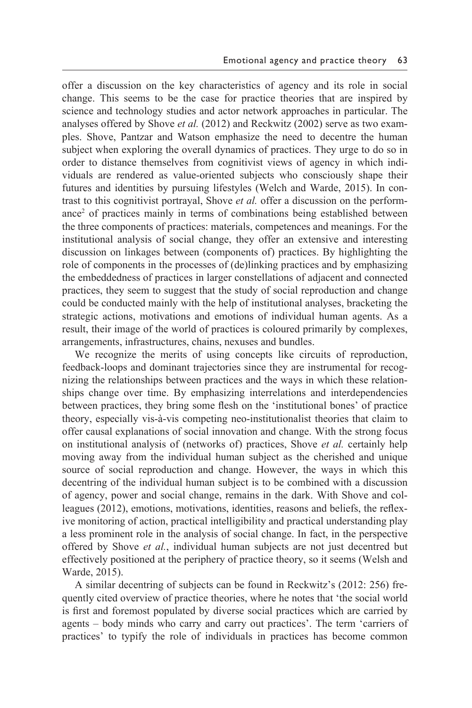offer a discussion on the key characteristics of agency and its role in social change. This seems to be the case for practice theories that are inspired by science and technology studies and actor network approaches in particular. The analyses offered by Shove *et al.* (2012) and Reckwitz (2002) serve as two examples. Shove, Pantzar and Watson emphasize the need to decentre the human subject when exploring the overall dynamics of practices. They urge to do so in order to distance themselves from cognitivist views of agency in which individuals are rendered as value- oriented subjects who consciously shape their futures and identities by pursuing lifestyles (Welch and Warde, 2015). In contrast to this cognitivist portrayal, Shove *et al.* offer a discussion on the performance<sup>2</sup> of practices mainly in terms of combinations being established between the three components of practices: materials, competences and meanings. For the institutional analysis of social change, they offer an extensive and interesting discussion on linkages between (components of) practices. By highlighting the role of components in the processes of (de)linking practices and by emphasizing the embeddedness of practices in larger constellations of adjacent and connected practices, they seem to suggest that the study of social reproduction and change could be conducted mainly with the help of institutional analyses, bracketing the strategic actions, motivations and emotions of individual human agents. As a result, their image of the world of practices is coloured primarily by complexes, arrangements, infrastructures, chains, nexuses and bundles.

 We recognize the merits of using concepts like circuits of reproduction, feedback- loops and dominant trajectories since they are instrumental for recognizing the relationships between practices and the ways in which these relationships change over time. By emphasizing interrelations and interdependencies between practices, they bring some flesh on the 'institutional bones' of practice theory, especially vis-à-vis competing neo-institutionalist theories that claim to offer causal explanations of social innovation and change. With the strong focus on institutional analysis of (networks of) practices, Shove *et al.* certainly help moving away from the individual human subject as the cherished and unique source of social reproduction and change. However, the ways in which this decentring of the individual human subject is to be combined with a discussion of agency, power and social change, remains in the dark. With Shove and colleagues (2012), emotions, motivations, identities, reasons and beliefs, the reflexive monitoring of action, practical intelligibility and practical understanding play a less prominent role in the analysis of social change. In fact, in the perspective offered by Shove *et al.*, individual human subjects are not just decentred but effectively positioned at the periphery of practice theory, so it seems (Welsh and Warde, 2015).

 A similar decentring of subjects can be found in Reckwitz's (2012: 256) frequently cited overview of practice theories, where he notes that 'the social world is first and foremost populated by diverse social practices which are carried by agents – body minds who carry and carry out practices'. The term 'carriers of practices' to typify the role of individuals in practices has become common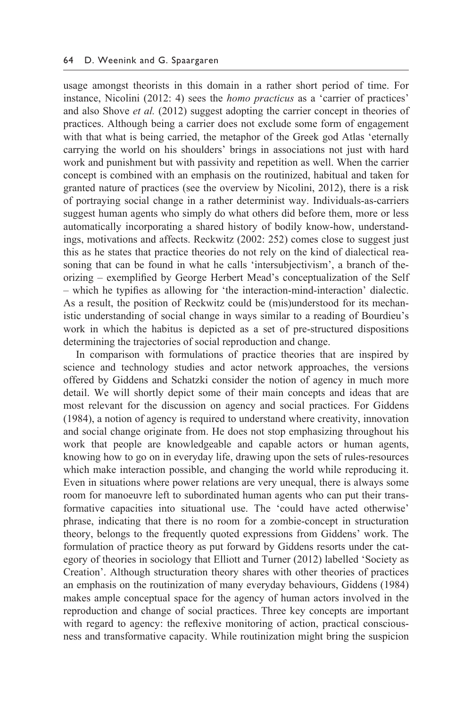usage amongst theorists in this domain in a rather short period of time. For instance, Nicolini (2012: 4) sees the *homo practicus* as a 'carrier of practices' and also Shove *et al.* (2012) suggest adopting the carrier concept in theories of practices. Although being a carrier does not exclude some form of engagement with that what is being carried, the metaphor of the Greek god Atlas 'eternally carrying the world on his shoulders' brings in associations not just with hard work and punishment but with passivity and repetition as well. When the carrier concept is combined with an emphasis on the routinized, habitual and taken for granted nature of practices (see the overview by Nicolini, 2012), there is a risk of portraying social change in a rather determinist way. Individuals-as-carriers suggest human agents who simply do what others did before them, more or less automatically incorporating a shared history of bodily know-how, understandings, motivations and affects. Reckwitz (2002: 252) comes close to suggest just this as he states that practice theories do not rely on the kind of dialectical reasoning that can be found in what he calls 'intersubjectivism', a branch of theorizing – exemplified by George Herbert Mead's conceptualization of the Self – which he typifies as allowing for 'the interaction- mind-interaction' dialectic. As a result, the position of Reckwitz could be (mis)understood for its mechanistic understanding of social change in ways similar to a reading of Bourdieu's work in which the habitus is depicted as a set of pre-structured dispositions determining the trajectories of social reproduction and change.

 In comparison with formulations of practice theories that are inspired by science and technology studies and actor network approaches, the versions offered by Giddens and Schatzki consider the notion of agency in much more detail. We will shortly depict some of their main concepts and ideas that are most relevant for the discussion on agency and social practices. For Giddens (1984), a notion of agency is required to understand where creativity, innovation and social change originate from. He does not stop emphasizing throughout his work that people are knowledgeable and capable actors or human agents, knowing how to go on in everyday life, drawing upon the sets of rules- resources which make interaction possible, and changing the world while reproducing it. Even in situations where power relations are very unequal, there is always some room for manoeuvre left to subordinated human agents who can put their transformative capacities into situational use. The 'could have acted otherwise' phrase, indicating that there is no room for a zombie- concept in structuration theory, belongs to the frequently quoted expressions from Giddens' work. The formulation of practice theory as put forward by Giddens resorts under the category of theories in sociology that Elliott and Turner (2012) labelled 'Society as Creation'. Although structuration theory shares with other theories of practices an emphasis on the routinization of many everyday behaviours, Giddens (1984) makes ample conceptual space for the agency of human actors involved in the reproduction and change of social practices. Three key concepts are important with regard to agency: the reflexive monitoring of action, practical consciousness and transformative capacity. While routinization might bring the suspicion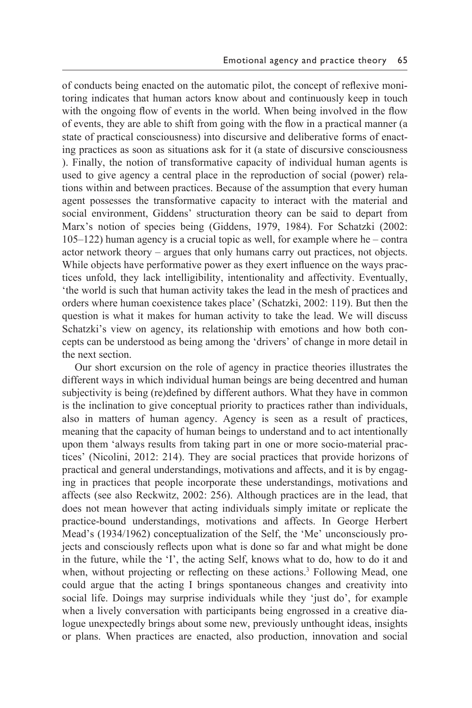of conducts being enacted on the automatic pilot, the concept of reflexive monitoring indicates that human actors know about and continuously keep in touch with the ongoing flow of events in the world. When being involved in the flow of events, they are able to shift from going with the flow in a practical manner (a state of practical consciousness) into discursive and deliberative forms of enacting practices as soon as situations ask for it (a state of discursive consciousness ). Finally, the notion of transformative capacity of individual human agents is used to give agency a central place in the reproduction of social (power) relations within and between practices. Because of the assumption that every human agent possesses the transformative capacity to interact with the material and social environment, Giddens' structuration theory can be said to depart from Marx's notion of species being (Giddens, 1979, 1984). For Schatzki (2002: 105–122) human agency is a crucial topic as well, for example where he – contra actor network theory – argues that only humans carry out practices, not objects. While objects have performative power as they exert influence on the ways practices unfold, they lack intelligibility, intentionality and affectivity. Eventually, 'the world is such that human activity takes the lead in the mesh of practices and orders where human coexistence takes place' (Schatzki, 2002: 119). But then the question is what it makes for human activity to take the lead. We will discuss Schatzki's view on agency, its relationship with emotions and how both concepts can be understood as being among the 'drivers' of change in more detail in the next section.

 Our short excursion on the role of agency in practice theories illustrates the different ways in which individual human beings are being decentred and human subjectivity is being (re)defined by different authors. What they have in common is the inclination to give conceptual priority to practices rather than individuals, also in matters of human agency. Agency is seen as a result of practices, meaning that the capacity of human beings to understand and to act intentionally upon them 'always results from taking part in one or more socio- material practices' (Nicolini, 2012: 214). They are social practices that provide horizons of practical and general understandings, motivations and affects, and it is by engaging in practices that people incorporate these understandings, motivations and affects (see also Reckwitz, 2002: 256). Although practices are in the lead, that does not mean however that acting individuals simply imitate or replicate the practice- bound understandings, motivations and affects. In George Herbert Mead's (1934/1962) conceptualization of the Self, the 'Me' unconsciously projects and consciously reflects upon what is done so far and what might be done in the future, while the 'I', the acting Self, knows what to do, how to do it and when, without projecting or reflecting on these actions.<sup>3</sup> Following Mead, one could argue that the acting I brings spontaneous changes and creativity into social life. Doings may surprise individuals while they 'just do', for example when a lively conversation with participants being engrossed in a creative dialogue unexpectedly brings about some new, previously unthought ideas, insights or plans. When practices are enacted, also production, innovation and social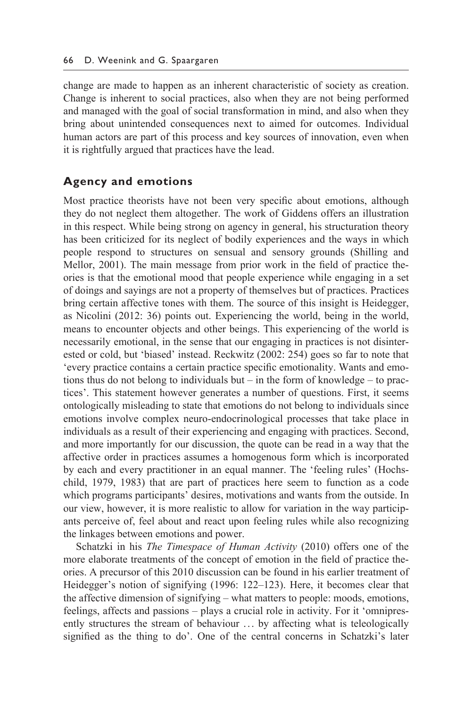change are made to happen as an inherent characteristic of society as creation. Change is inherent to social practices, also when they are not being performed and managed with the goal of social transformation in mind, and also when they bring about unintended consequences next to aimed for outcomes. Individual human actors are part of this process and key sources of innovation, even when it is rightfully argued that practices have the lead.

## **Agency and emotions**

Most practice theorists have not been very specific about emotions, although they do not neglect them altogether. The work of Giddens offers an illustration in this respect. While being strong on agency in general, his structuration theory has been criticized for its neglect of bodily experiences and the ways in which people respond to structures on sensual and sensory grounds (Shilling and Mellor, 2001). The main message from prior work in the field of practice theories is that the emotional mood that people experience while engaging in a set of doings and sayings are not a property of themselves but of practices. Practices bring certain affective tones with them. The source of this insight is Heidegger, as Nicolini (2012: 36) points out. Experiencing the world, being in the world, means to encounter objects and other beings. This experiencing of the world is necessarily emotional, in the sense that our engaging in practices is not disinterested or cold, but 'biased' instead. Reckwitz (2002: 254) goes so far to note that 'every practice contains a certain practice specific emotionality. Wants and emotions thus do not belong to individuals but – in the form of knowledge – to practices'. This statement however generates a number of questions. First, it seems ontologically misleading to state that emotions do not belong to individuals since emotions involve complex neuro- endocrinological processes that take place in individuals as a result of their experiencing and engaging with practices. Second, and more importantly for our discussion, the quote can be read in a way that the affective order in practices assumes a homogenous form which is incorporated by each and every practitioner in an equal manner. The 'feeling rules' (Hochschild, 1979, 1983) that are part of practices here seem to function as a code which programs participants' desires, motivations and wants from the outside. In our view, however, it is more realistic to allow for variation in the way participants perceive of, feel about and react upon feeling rules while also recognizing the linkages between emotions and power.

 Schatzki in his *The Timespace of Human Activity* (2010) offers one of the more elaborate treatments of the concept of emotion in the field of practice theories. A precursor of this 2010 discussion can be found in his earlier treatment of Heidegger's notion of signifying (1996: 122–123). Here, it becomes clear that the affective dimension of signifying – what matters to people: moods, emotions, feelings, affects and passions – plays a crucial role in activity. For it 'omnipresently structures the stream of behaviour ... by affecting what is teleologically signified as the thing to do'. One of the central concerns in Schatzki's later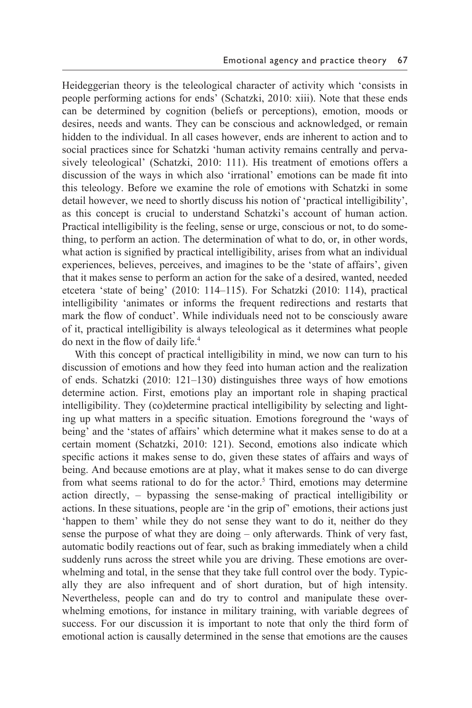Heideggerian theory is the teleological character of activity which 'consists in people performing actions for ends' (Schatzki, 2010: xiii). Note that these ends can be determined by cognition (beliefs or perceptions), emotion, moods or desires, needs and wants. They can be conscious and acknowledged, or remain hidden to the individual. In all cases however, ends are inherent to action and to social practices since for Schatzki 'human activity remains centrally and pervasively teleological' (Schatzki, 2010: 111). His treatment of emotions offers a discussion of the ways in which also 'irrational' emotions can be made fit into this teleology. Before we examine the role of emotions with Schatzki in some detail however, we need to shortly discuss his notion of 'practical intelligibility', as this concept is crucial to understand Schatzki's account of human action. Practical intelligibility is the feeling, sense or urge, conscious or not, to do something, to perform an action. The determination of what to do, or, in other words, what action is signified by practical intelligibility, arises from what an individual experiences, believes, perceives, and imagines to be the 'state of affairs', given that it makes sense to perform an action for the sake of a desired, wanted, needed etcetera 'state of being' (2010: 114–115). For Schatzki (2010: 114), practical intelligibility 'animates or informs the frequent redirections and restarts that mark the flow of conduct'. While individuals need not to be consciously aware of it, practical intelligibility is always teleological as it determines what people do next in the flow of daily life.4

 With this concept of practical intelligibility in mind, we now can turn to his discussion of emotions and how they feed into human action and the realization of ends. Schatzki (2010: 121–130) distinguishes three ways of how emotions determine action. First, emotions play an important role in shaping practical intelligibility. They (co)determine practical intelligibility by selecting and lighting up what matters in a specific situation. Emotions foreground the 'ways of being' and the 'states of affairs' which determine what it makes sense to do at a certain moment (Schatzki, 2010: 121). Second, emotions also indicate which specific actions it makes sense to do, given these states of affairs and ways of being. And because emotions are at play, what it makes sense to do can diverge from what seems rational to do for the actor.<sup>5</sup> Third, emotions may determine action directly, – bypassing the sense- making of practical intelligibility or actions. In these situations, people are 'in the grip of' emotions, their actions just 'happen to them' while they do not sense they want to do it, neither do they sense the purpose of what they are doing – only afterwards. Think of very fast, automatic bodily reactions out of fear, such as braking immediately when a child suddenly runs across the street while you are driving. These emotions are overwhelming and total, in the sense that they take full control over the body. Typically they are also infrequent and of short duration, but of high intensity. Nevertheless, people can and do try to control and manipulate these overwhelming emotions, for instance in military training, with variable degrees of success. For our discussion it is important to note that only the third form of emotional action is causally determined in the sense that emotions are the causes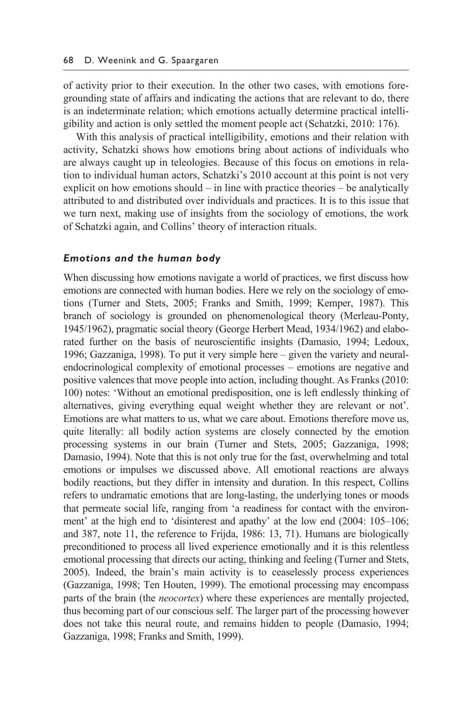of activity prior to their execution. In the other two cases, with emotions foregrounding state of affairs and indicating the actions that are relevant to do, there is an indeterminate relation; which emotions actually determine practical intelligibility and action is only settled the moment people act (Schatzki, 2010: 176).

 With this analysis of practical intelligibility, emotions and their relation with activity, Schatzki shows how emotions bring about actions of individuals who are always caught up in teleologies. Because of this focus on emotions in relation to individual human actors, Schatzki's 2010 account at this point is not very explicit on how emotions should – in line with practice theories – be analytically attributed to and distributed over individuals and practices. It is to this issue that we turn next, making use of insights from the sociology of emotions, the work of Schatzki again, and Collins' theory of interaction rituals.

#### *Emotions and the human body*

When discussing how emotions navigate a world of practices, we first discuss how emotions are connected with human bodies. Here we rely on the sociology of emotions (Turner and Stets, 2005; Franks and Smith, 1999; Kemper, 1987). This branch of sociology is grounded on phenomenological theory (Merleau- Ponty, 1945/1962), pragmatic social theory (George Herbert Mead, 1934/1962) and elaborated further on the basis of neuroscientific insights (Damasio, 1994; Ledoux, 1996; Gazzaniga, 1998). To put it very simple here – given the variety and neuralendocrinological complexity of emotional processes – emotions are negative and positive valences that move people into action, including thought. As Franks (2010: 100) notes: 'Without an emotional predisposition, one is left endlessly thinking of alternatives, giving everything equal weight whether they are relevant or not'. Emotions are what matters to us, what we care about. Emotions therefore move us, quite literally: all bodily action systems are closely connected by the emotion processing systems in our brain (Turner and Stets, 2005; Gazzaniga, 1998; Damasio, 1994). Note that this is not only true for the fast, overwhelming and total emotions or impulses we discussed above. All emotional reactions are always bodily reactions, but they differ in intensity and duration. In this respect, Collins refers to undramatic emotions that are long-lasting, the underlying tones or moods that permeate social life, ranging from 'a readiness for contact with the environment' at the high end to 'disinterest and apathy' at the low end (2004: 105–106; and 387, note 11, the reference to Frijda, 1986: 13, 71). Humans are biologically preconditioned to process all lived experience emotionally and it is this relentless emotional processing that directs our acting, thinking and feeling (Turner and Stets, 2005). Indeed, the brain's main activity is to ceaselessly process experiences (Gazzaniga, 1998; Ten Houten, 1999). The emotional processing may encompass parts of the brain (the *neocortex*) where these experiences are mentally projected, thus becoming part of our conscious self. The larger part of the processing however does not take this neural route, and remains hidden to people (Damasio, 1994; Gazzaniga, 1998; Franks and Smith, 1999).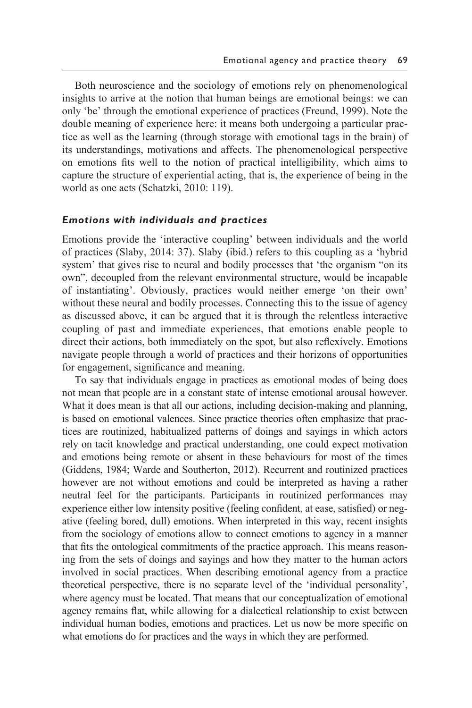Both neuroscience and the sociology of emotions rely on phenomenological insights to arrive at the notion that human beings are emotional beings: we can only 'be' through the emotional experience of practices (Freund, 1999). Note the double meaning of experience here: it means both undergoing a particular practice as well as the learning (through storage with emotional tags in the brain) of its understandings, motivations and affects. The phenomenological perspective on emotions fits well to the notion of practical intelligibility, which aims to capture the structure of experiential acting, that is, the experience of being in the world as one acts (Schatzki, 2010: 119).

#### *Emotions with individuals and practices*

Emotions provide the 'interactive coupling' between individuals and the world of practices (Slaby, 2014: 37). Slaby (ibid.) refers to this coupling as a 'hybrid system' that gives rise to neural and bodily processes that 'the organism "on its own", decoupled from the relevant environmental structure, would be incapable of instantiating'. Obviously, practices would neither emerge 'on their own' without these neural and bodily processes. Connecting this to the issue of agency as discussed above, it can be argued that it is through the relentless interactive coupling of past and immediate experiences, that emotions enable people to direct their actions, both immediately on the spot, but also reflexively. Emotions navigate people through a world of practices and their horizons of opportunities for engagement, significance and meaning.

 To say that individuals engage in practices as emotional modes of being does not mean that people are in a constant state of intense emotional arousal however. What it does mean is that all our actions, including decision-making and planning, is based on emotional valences. Since practice theories often emphasize that practices are routinized, habitualized patterns of doings and sayings in which actors rely on tacit knowledge and practical understanding, one could expect motivation and emotions being remote or absent in these behaviours for most of the times (Giddens, 1984; Warde and Southerton, 2012). Recurrent and routinized practices however are not without emotions and could be interpreted as having a rather neutral feel for the participants. Participants in routinized performances may experience either low intensity positive (feeling confident, at ease, satisfied) or negative (feeling bored, dull) emotions. When interpreted in this way, recent insights from the sociology of emotions allow to connect emotions to agency in a manner that fits the ontological commitments of the practice approach. This means reasoning from the sets of doings and sayings and how they matter to the human actors involved in social practices. When describing emotional agency from a practice theoretical perspective, there is no separate level of the 'individual personality', where agency must be located. That means that our conceptualization of emotional agency remains flat, while allowing for a dialectical relationship to exist between individual human bodies, emotions and practices. Let us now be more specific on what emotions do for practices and the ways in which they are performed.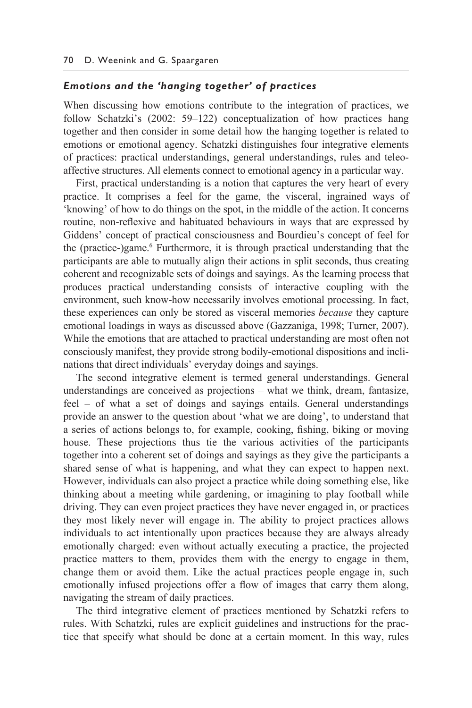#### *Emotions and the 'hanging together' of practices*

When discussing how emotions contribute to the integration of practices, we follow Schatzki's (2002: 59–122) conceptualization of how practices hang together and then consider in some detail how the hanging together is related to emotions or emotional agency. Schatzki distinguishes four integrative elements of practices: practical understandings, general understandings, rules and teleoaffective structures. All elements connect to emotional agency in a particular way.

 First, practical understanding is a notion that captures the very heart of every practice. It comprises a feel for the game, the visceral, ingrained ways of 'knowing' of how to do things on the spot, in the middle of the action. It concerns routine, non- reflexive and habituated behaviours in ways that are expressed by Giddens' concept of practical consciousness and Bourdieu's concept of feel for the (practice-)game.<sup>6</sup> Furthermore, it is through practical understanding that the participants are able to mutually align their actions in split seconds, thus creating coherent and recognizable sets of doings and sayings. As the learning process that produces practical understanding consists of interactive coupling with the environment, such know-how necessarily involves emotional processing. In fact, these experiences can only be stored as visceral memories *because* they capture emotional loadings in ways as discussed above (Gazzaniga, 1998; Turner, 2007). While the emotions that are attached to practical understanding are most often not consciously manifest, they provide strong bodily- emotional dispositions and inclinations that direct individuals' everyday doings and sayings.

 The second integrative element is termed general understandings. General understandings are conceived as projections – what we think, dream, fantasize, feel – of what a set of doings and sayings entails. General understandings provide an answer to the question about 'what we are doing', to understand that a series of actions belongs to, for example, cooking, fishing, biking or moving house. These projections thus tie the various activities of the participants together into a coherent set of doings and sayings as they give the participants a shared sense of what is happening, and what they can expect to happen next. However, individuals can also project a practice while doing something else, like thinking about a meeting while gardening, or imagining to play football while driving. They can even project practices they have never engaged in, or practices they most likely never will engage in. The ability to project practices allows individuals to act intentionally upon practices because they are always already emotionally charged: even without actually executing a practice, the projected practice matters to them, provides them with the energy to engage in them, change them or avoid them. Like the actual practices people engage in, such emotionally infused projections offer a flow of images that carry them along, navigating the stream of daily practices.

 The third integrative element of practices mentioned by Schatzki refers to rules. With Schatzki, rules are explicit guidelines and instructions for the practice that specify what should be done at a certain moment. In this way, rules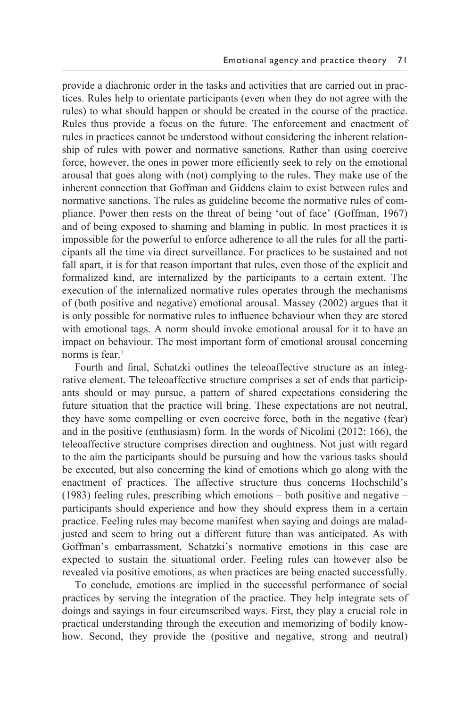provide a diachronic order in the tasks and activities that are carried out in practices. Rules help to orientate participants (even when they do not agree with the rules) to what should happen or should be created in the course of the practice. Rules thus provide a focus on the future. The enforcement and enactment of rules in practices cannot be understood without considering the inherent relationship of rules with power and normative sanctions. Rather than using coercive force, however, the ones in power more efficiently seek to rely on the emotional arousal that goes along with (not) complying to the rules. They make use of the inherent connection that Goffman and Giddens claim to exist between rules and normative sanctions. The rules as guideline become the normative rules of compliance. Power then rests on the threat of being 'out of face' (Goffman, 1967) and of being exposed to shaming and blaming in public. In most practices it is impossible for the powerful to enforce adherence to all the rules for all the participants all the time via direct surveillance. For practices to be sustained and not fall apart, it is for that reason important that rules, even those of the explicit and formalized kind, are internalized by the participants to a certain extent. The execution of the internalized normative rules operates through the mechanisms of (both positive and negative) emotional arousal. Massey (2002) argues that it is only possible for normative rules to influence behaviour when they are stored with emotional tags. A norm should invoke emotional arousal for it to have an impact on behaviour. The most important form of emotional arousal concerning norms is fear. $7$ 

 Fourth and final, Schatzki outlines the teleoaffective structure as an integrative element. The teleoaffective structure comprises a set of ends that participants should or may pursue, a pattern of shared expectations considering the future situation that the practice will bring. These expectations are not neutral, they have some compelling or even coercive force, both in the negative (fear) and in the positive (enthusiasm) form. In the words of Nicolini (2012: 166), the teleoaffective structure comprises direction and oughtness. Not just with regard to the aim the participants should be pursuing and how the various tasks should be executed, but also concerning the kind of emotions which go along with the enactment of practices. The affective structure thus concerns Hochschild's (1983) feeling rules, prescribing which emotions – both positive and negative – participants should experience and how they should express them in a certain practice. Feeling rules may become manifest when saying and doings are maladjusted and seem to bring out a different future than was anticipated. As with Goffman's embarrassment, Schatzki's normative emotions in this case are expected to sustain the situational order. Feeling rules can however also be revealed via positive emotions, as when practices are being enacted successfully.

 To conclude, emotions are implied in the successful performance of social practices by serving the integration of the practice. They help integrate sets of doings and sayings in four circumscribed ways. First, they play a crucial role in practical understanding through the execution and memorizing of bodily knowhow. Second, they provide the (positive and negative, strong and neutral)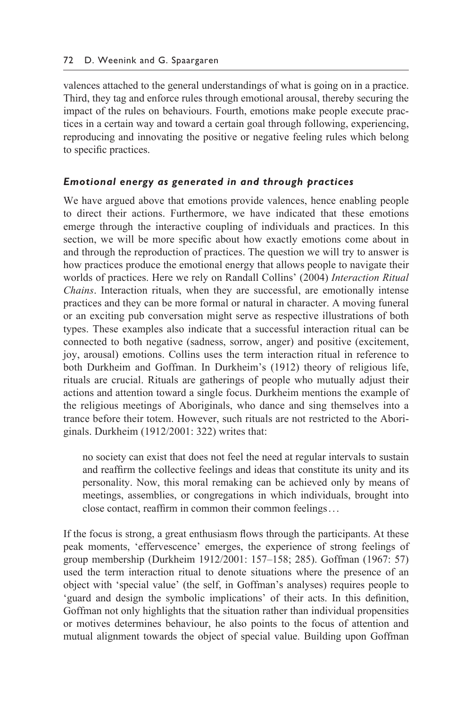valences attached to the general understandings of what is going on in a practice. Third, they tag and enforce rules through emotional arousal, thereby securing the impact of the rules on behaviours. Fourth, emotions make people execute practices in a certain way and toward a certain goal through following, experiencing, reproducing and innovating the positive or negative feeling rules which belong to specific practices.

## *Emotional energy as generated in and through practices*

We have argued above that emotions provide valences, hence enabling people to direct their actions. Furthermore, we have indicated that these emotions emerge through the interactive coupling of individuals and practices. In this section, we will be more specific about how exactly emotions come about in and through the reproduction of practices. The question we will try to answer is how practices produce the emotional energy that allows people to navigate their worlds of practices. Here we rely on Randall Collins' (2004) *Interaction Ritual Chains*. Interaction rituals, when they are successful, are emotionally intense practices and they can be more formal or natural in character. A moving funeral or an exciting pub conversation might serve as respective illustrations of both types. These examples also indicate that a successful interaction ritual can be connected to both negative (sadness, sorrow, anger) and positive (excitement, joy, arousal) emotions. Collins uses the term interaction ritual in reference to both Durkheim and Goffman. In Durkheim's (1912) theory of religious life, rituals are crucial. Rituals are gatherings of people who mutually adjust their actions and attention toward a single focus. Durkheim mentions the example of the religious meetings of Aboriginals, who dance and sing themselves into a trance before their totem. However, such rituals are not restricted to the Aboriginals. Durkheim (1912/2001: 322) writes that:

no society can exist that does not feel the need at regular intervals to sustain and reaffirm the collective feelings and ideas that constitute its unity and its personality. Now, this moral remaking can be achieved only by means of meetings, assemblies, or congregations in which individuals, brought into close contact, reaffirm in common their common feelings . . .

If the focus is strong, a great enthusiasm flows through the participants. At these peak moments, 'effervescence' emerges, the experience of strong feelings of group membership (Durkheim 1912/2001: 157–158; 285). Goffman (1967: 57) used the term interaction ritual to denote situations where the presence of an object with 'special value' (the self, in Goffman's analyses) requires people to 'guard and design the symbolic implications' of their acts. In this definition, Goffman not only highlights that the situation rather than individual propensities or motives determines behaviour, he also points to the focus of attention and mutual alignment towards the object of special value. Building upon Goffman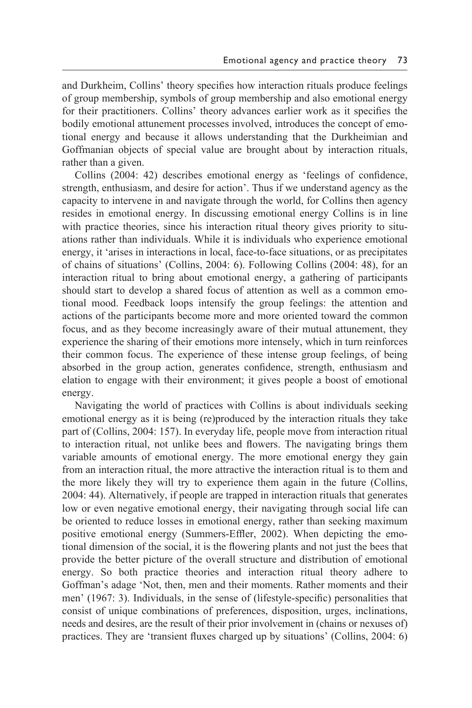and Durkheim, Collins' theory specifies how interaction rituals produce feelings of group membership, symbols of group membership and also emotional energy for their practitioners. Collins' theory advances earlier work as it specifies the bodily emotional attunement processes involved, introduces the concept of emotional energy and because it allows understanding that the Durkheimian and Goffmanian objects of special value are brought about by interaction rituals, rather than a given.

 Collins (2004: 42) describes emotional energy as 'feelings of confidence, strength, enthusiasm, and desire for action'. Thus if we understand agency as the capacity to intervene in and navigate through the world, for Collins then agency resides in emotional energy. In discussing emotional energy Collins is in line with practice theories, since his interaction ritual theory gives priority to situations rather than individuals. While it is individuals who experience emotional energy, it 'arises in interactions in local, face-to-face situations, or as precipitates of chains of situations' (Collins, 2004: 6). Following Collins (2004: 48), for an interaction ritual to bring about emotional energy, a gathering of participants should start to develop a shared focus of attention as well as a common emotional mood. Feedback loops intensify the group feelings: the attention and actions of the participants become more and more oriented toward the common focus, and as they become increasingly aware of their mutual attunement, they experience the sharing of their emotions more intensely, which in turn reinforces their common focus. The experience of these intense group feelings, of being absorbed in the group action, generates confidence, strength, enthusiasm and elation to engage with their environment; it gives people a boost of emotional energy.

 Navigating the world of practices with Collins is about individuals seeking emotional energy as it is being (re)produced by the interaction rituals they take part of (Collins, 2004: 157). In everyday life, people move from interaction ritual to interaction ritual, not unlike bees and flowers. The navigating brings them variable amounts of emotional energy. The more emotional energy they gain from an interaction ritual, the more attractive the interaction ritual is to them and the more likely they will try to experience them again in the future (Collins, 2004: 44). Alternatively, if people are trapped in interaction rituals that generates low or even negative emotional energy, their navigating through social life can be oriented to reduce losses in emotional energy, rather than seeking maximum positive emotional energy (Summers-Effler, 2002). When depicting the emotional dimension of the social, it is the flowering plants and not just the bees that provide the better picture of the overall structure and distribution of emotional energy. So both practice theories and interaction ritual theory adhere to Goffman's adage 'Not, then, men and their moments. Rather moments and their men' (1967: 3). Individuals, in the sense of (lifestyle- specific) personalities that consist of unique combinations of preferences, disposition, urges, inclinations, needs and desires, are the result of their prior involvement in (chains or nexuses of) practices. They are 'transient fluxes charged up by situations' (Collins, 2004: 6)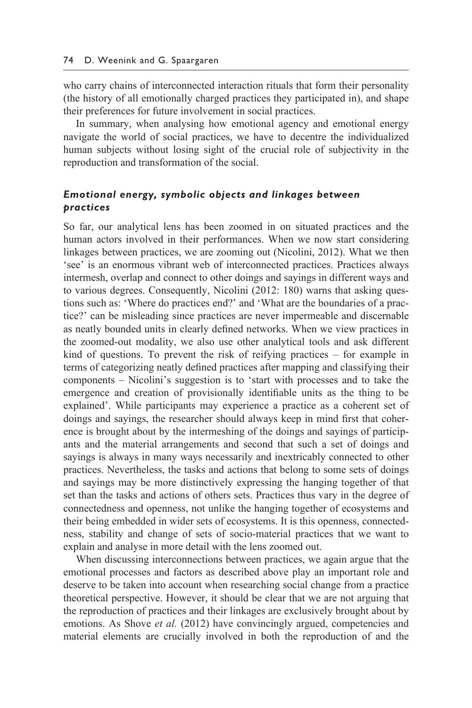who carry chains of interconnected interaction rituals that form their personality (the history of all emotionally charged practices they participated in), and shape their preferences for future involvement in social practices.

 In summary, when analysing how emotional agency and emotional energy navigate the world of social practices, we have to decentre the individualized human subjects without losing sight of the crucial role of subjectivity in the reproduction and transformation of the social.

## *Emotional energy, symbolic objects and linkages between practices*

So far, our analytical lens has been zoomed in on situated practices and the human actors involved in their performances. When we now start considering linkages between practices, we are zooming out (Nicolini, 2012). What we then 'see' is an enormous vibrant web of interconnected practices. Practices always intermesh, overlap and connect to other doings and sayings in different ways and to various degrees. Consequently, Nicolini (2012: 180) warns that asking questions such as: 'Where do practices end?' and 'What are the boundaries of a practice?' can be misleading since practices are never impermeable and discernable as neatly bounded units in clearly defined networks. When we view practices in the zoomed- out modality, we also use other analytical tools and ask different kind of questions. To prevent the risk of reifying practices – for example in terms of categorizing neatly defined practices after mapping and classifying their components – Nicolini's suggestion is to 'start with processes and to take the emergence and creation of provisionally identifiable units as the thing to be explained'. While participants may experience a practice as a coherent set of doings and sayings, the researcher should always keep in mind first that coherence is brought about by the intermeshing of the doings and sayings of participants and the material arrangements and second that such a set of doings and sayings is always in many ways necessarily and inextricably connected to other practices. Nevertheless, the tasks and actions that belong to some sets of doings and sayings may be more distinctively expressing the hanging together of that set than the tasks and actions of others sets. Practices thus vary in the degree of connectedness and openness, not unlike the hanging together of ecosystems and their being embedded in wider sets of ecosystems. It is this openness, connectedness, stability and change of sets of socio- material practices that we want to explain and analyse in more detail with the lens zoomed out.

 When discussing interconnections between practices, we again argue that the emotional processes and factors as described above play an important role and deserve to be taken into account when researching social change from a practice theoretical perspective. However, it should be clear that we are not arguing that the reproduction of practices and their linkages are exclusively brought about by emotions. As Shove *et al.* (2012) have convincingly argued, competencies and material elements are crucially involved in both the reproduction of and the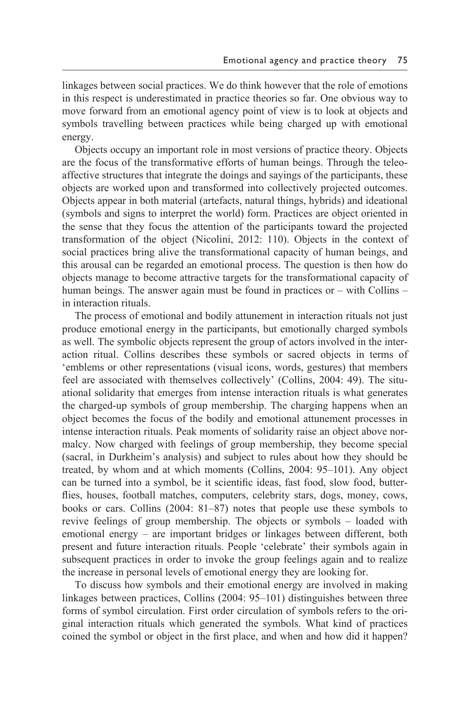linkages between social practices. We do think however that the role of emotions in this respect is underestimated in practice theories so far. One obvious way to move forward from an emotional agency point of view is to look at objects and symbols travelling between practices while being charged up with emotional energy.

 Objects occupy an important role in most versions of practice theory. Objects are the focus of the transformative efforts of human beings. Through the teleoaffective structures that integrate the doings and sayings of the participants, these objects are worked upon and transformed into collectively projected outcomes. Objects appear in both material (artefacts, natural things, hybrids) and ideational (symbols and signs to interpret the world) form. Practices are object oriented in the sense that they focus the attention of the participants toward the projected transformation of the object (Nicolini, 2012: 110). Objects in the context of social practices bring alive the transformational capacity of human beings, and this arousal can be regarded an emotional process. The question is then how do objects manage to become attractive targets for the transformational capacity of human beings. The answer again must be found in practices or – with Collins – in interaction rituals.

 The process of emotional and bodily attunement in interaction rituals not just produce emotional energy in the participants, but emotionally charged symbols as well. The symbolic objects represent the group of actors involved in the interaction ritual. Collins describes these symbols or sacred objects in terms of 'emblems or other representations (visual icons, words, gestures) that members feel are associated with themselves collectively' (Collins, 2004: 49). The situational solidarity that emerges from intense interaction rituals is what generates the charged-up symbols of group membership. The charging happens when an object becomes the focus of the bodily and emotional attunement processes in intense interaction rituals. Peak moments of solidarity raise an object above normalcy. Now charged with feelings of group membership, they become special (sacral, in Durkheim's analysis) and subject to rules about how they should be treated, by whom and at which moments (Collins, 2004: 95–101). Any object can be turned into a symbol, be it scientific ideas, fast food, slow food, butterflies, houses, football matches, computers, celebrity stars, dogs, money, cows, books or cars. Collins (2004: 81–87) notes that people use these symbols to revive feelings of group membership. The objects or symbols – loaded with emotional energy – are important bridges or linkages between different, both present and future interaction rituals. People 'celebrate' their symbols again in subsequent practices in order to invoke the group feelings again and to realize the increase in personal levels of emotional energy they are looking for.

 To discuss how symbols and their emotional energy are involved in making linkages between practices, Collins (2004: 95–101) distinguishes between three forms of symbol circulation. First order circulation of symbols refers to the original interaction rituals which generated the symbols. What kind of practices coined the symbol or object in the first place, and when and how did it happen?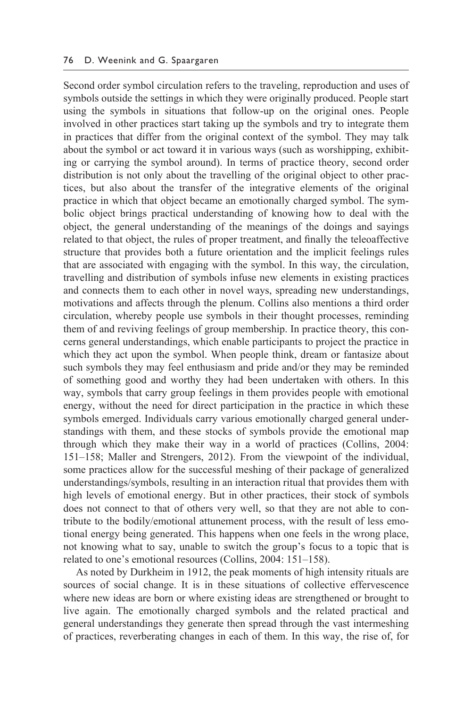Second order symbol circulation refers to the traveling, reproduction and uses of symbols outside the settings in which they were originally produced. People start using the symbols in situations that follow-up on the original ones. People involved in other practices start taking up the symbols and try to integrate them in practices that differ from the original context of the symbol. They may talk about the symbol or act toward it in various ways (such as worshipping, exhibiting or carrying the symbol around). In terms of practice theory, second order distribution is not only about the travelling of the original object to other practices, but also about the transfer of the integrative elements of the original practice in which that object became an emotionally charged symbol. The symbolic object brings practical understanding of knowing how to deal with the object, the general understanding of the meanings of the doings and sayings related to that object, the rules of proper treatment, and finally the teleoaffective structure that provides both a future orientation and the implicit feelings rules that are associated with engaging with the symbol. In this way, the circulation, travelling and distribution of symbols infuse new elements in existing practices and connects them to each other in novel ways, spreading new understandings, motivations and affects through the plenum. Collins also mentions a third order circulation, whereby people use symbols in their thought processes, reminding them of and reviving feelings of group membership. In practice theory, this concerns general understandings, which enable participants to project the practice in which they act upon the symbol. When people think, dream or fantasize about such symbols they may feel enthusiasm and pride and/or they may be reminded of something good and worthy they had been undertaken with others. In this way, symbols that carry group feelings in them provides people with emotional energy, without the need for direct participation in the practice in which these symbols emerged. Individuals carry various emotionally charged general understandings with them, and these stocks of symbols provide the emotional map through which they make their way in a world of practices (Collins, 2004: 151–158; Maller and Strengers, 2012). From the viewpoint of the individual, some practices allow for the successful meshing of their package of generalized understandings/symbols, resulting in an interaction ritual that provides them with high levels of emotional energy. But in other practices, their stock of symbols does not connect to that of others very well, so that they are not able to contribute to the bodily/emotional attunement process, with the result of less emotional energy being generated. This happens when one feels in the wrong place, not knowing what to say, unable to switch the group's focus to a topic that is related to one's emotional resources (Collins, 2004: 151–158).

 As noted by Durkheim in 1912, the peak moments of high intensity rituals are sources of social change. It is in these situations of collective effervescence where new ideas are born or where existing ideas are strengthened or brought to live again. The emotionally charged symbols and the related practical and general understandings they generate then spread through the vast intermeshing of practices, reverberating changes in each of them. In this way, the rise of, for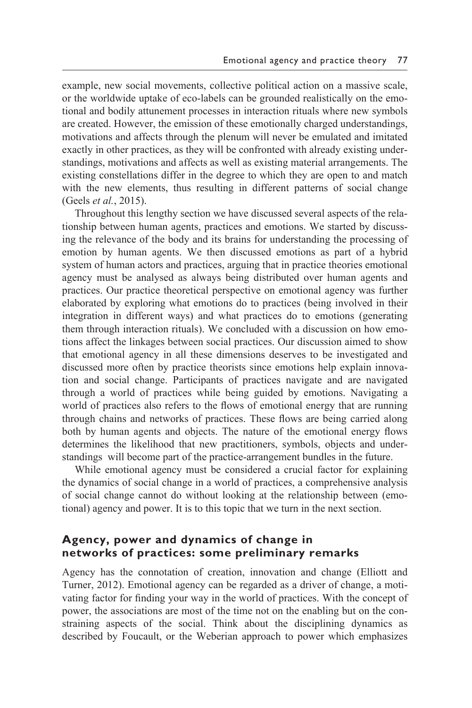example, new social movements, collective political action on a massive scale, or the worldwide uptake of eco- labels can be grounded realistically on the emotional and bodily attunement processes in interaction rituals where new symbols are created. However, the emission of these emotionally charged understandings, motivations and affects through the plenum will never be emulated and imitated exactly in other practices, as they will be confronted with already existing understandings, motivations and affects as well as existing material arrangements. The existing constellations differ in the degree to which they are open to and match with the new elements, thus resulting in different patterns of social change (Geels *et al.*, 2015).

 Throughout this lengthy section we have discussed several aspects of the relationship between human agents, practices and emotions. We started by discussing the relevance of the body and its brains for understanding the processing of emotion by human agents. We then discussed emotions as part of a hybrid system of human actors and practices, arguing that in practice theories emotional agency must be analysed as always being distributed over human agents and practices. Our practice theoretical perspective on emotional agency was further elaborated by exploring what emotions do to practices (being involved in their integration in different ways) and what practices do to emotions (generating them through interaction rituals). We concluded with a discussion on how emotions affect the linkages between social practices. Our discussion aimed to show that emotional agency in all these dimensions deserves to be investigated and discussed more often by practice theorists since emotions help explain innovation and social change. Participants of practices navigate and are navigated through a world of practices while being guided by emotions. Navigating a world of practices also refers to the flows of emotional energy that are running through chains and networks of practices. These flows are being carried along both by human agents and objects. The nature of the emotional energy flows determines the likelihood that new practitioners, symbols, objects and understandings will become part of the practice- arrangement bundles in the future.

 While emotional agency must be considered a crucial factor for explaining the dynamics of social change in a world of practices, a comprehensive analysis of social change cannot do without looking at the relationship between (emotional) agency and power. It is to this topic that we turn in the next section.

## **Agency, power and dynamics of change in networks of practices: some preliminary remarks**

Agency has the connotation of creation, innovation and change (Elliott and Turner, 2012). Emotional agency can be regarded as a driver of change, a motivating factor for finding your way in the world of practices. With the concept of power, the associations are most of the time not on the enabling but on the constraining aspects of the social. Think about the disciplining dynamics as described by Foucault, or the Weberian approach to power which emphasizes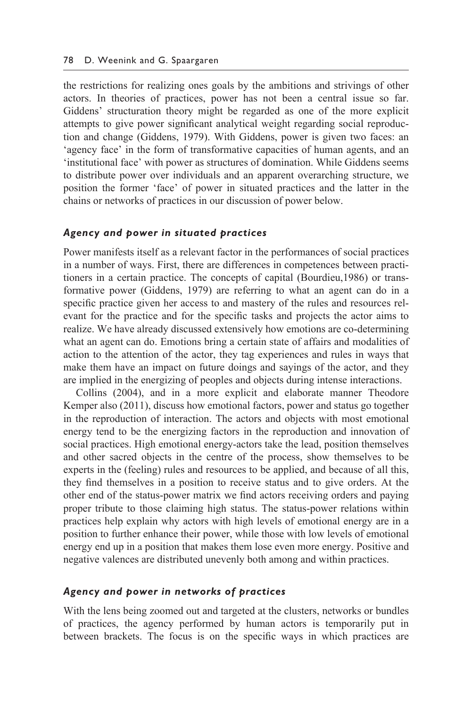the restrictions for realizing ones goals by the ambitions and strivings of other actors. In theories of practices, power has not been a central issue so far. Giddens' structuration theory might be regarded as one of the more explicit attempts to give power significant analytical weight regarding social reproduction and change (Giddens, 1979). With Giddens, power is given two faces: an 'agency face' in the form of transformative capacities of human agents, and an 'institutional face' with power as structures of domination. While Giddens seems to distribute power over individuals and an apparent overarching structure, we position the former 'face' of power in situated practices and the latter in the chains or networks of practices in our discussion of power below.

#### *Agency and power in situated practices*

Power manifests itself as a relevant factor in the performances of social practices in a number of ways. First, there are differences in competences between practitioners in a certain practice. The concepts of capital (Bourdieu,1986) or transformative power (Giddens, 1979) are referring to what an agent can do in a specific practice given her access to and mastery of the rules and resources relevant for the practice and for the specific tasks and projects the actor aims to realize. We have already discussed extensively how emotions are co-determining what an agent can do. Emotions bring a certain state of affairs and modalities of action to the attention of the actor, they tag experiences and rules in ways that make them have an impact on future doings and sayings of the actor, and they are implied in the energizing of peoples and objects during intense interactions.

 Collins (2004), and in a more explicit and elaborate manner Theodore Kemper also (2011), discuss how emotional factors, power and status go together in the reproduction of interaction. The actors and objects with most emotional energy tend to be the energizing factors in the reproduction and innovation of social practices. High emotional energy- actors take the lead, position themselves and other sacred objects in the centre of the process, show themselves to be experts in the (feeling) rules and resources to be applied, and because of all this, they find themselves in a position to receive status and to give orders. At the other end of the status- power matrix we find actors receiving orders and paying proper tribute to those claiming high status. The status- power relations within practices help explain why actors with high levels of emotional energy are in a position to further enhance their power, while those with low levels of emotional energy end up in a position that makes them lose even more energy. Positive and negative valences are distributed unevenly both among and within practices.

#### *Agency and power in networks of practices*

With the lens being zoomed out and targeted at the clusters, networks or bundles of practices, the agency performed by human actors is temporarily put in between brackets. The focus is on the specific ways in which practices are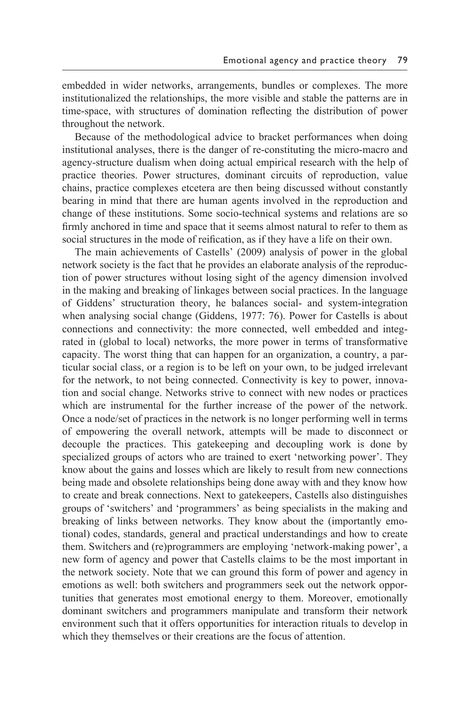embedded in wider networks, arrangements, bundles or complexes. The more institutionalized the relationships, the more visible and stable the patterns are in time- space, with structures of domination reflecting the distribution of power throughout the network.

 Because of the methodological advice to bracket performances when doing institutional analyses, there is the danger of re- constituting the micro- macro and agency- structure dualism when doing actual empirical research with the help of practice theories. Power structures, dominant circuits of reproduction, value chains, practice complexes etcetera are then being discussed without constantly bearing in mind that there are human agents involved in the reproduction and change of these institutions. Some socio- technical systems and relations are so firmly anchored in time and space that it seems almost natural to refer to them as social structures in the mode of reification, as if they have a life on their own.

 The main achievements of Castells' (2009) analysis of power in the global network society is the fact that he provides an elaborate analysis of the reproduction of power structures without losing sight of the agency dimension involved in the making and breaking of linkages between social practices. In the language of Giddens' structuration theory, he balances social- and system- integration when analysing social change (Giddens, 1977: 76). Power for Castells is about connections and connectivity: the more connected, well embedded and integrated in (global to local) networks, the more power in terms of transformative capacity. The worst thing that can happen for an organization, a country, a particular social class, or a region is to be left on your own, to be judged irrelevant for the network, to not being connected. Connectivity is key to power, innovation and social change. Networks strive to connect with new nodes or practices which are instrumental for the further increase of the power of the network. Once a node/set of practices in the network is no longer performing well in terms of empowering the overall network, attempts will be made to disconnect or decouple the practices. This gatekeeping and decoupling work is done by specialized groups of actors who are trained to exert 'networking power'. They know about the gains and losses which are likely to result from new connections being made and obsolete relationships being done away with and they know how to create and break connections. Next to gatekeepers, Castells also distinguishes groups of 'switchers' and 'programmers' as being specialists in the making and breaking of links between networks. They know about the (importantly emotional) codes, standards, general and practical understandings and how to create them. Switchers and (re)programmers are employing 'network-making power', a new form of agency and power that Castells claims to be the most important in the network society. Note that we can ground this form of power and agency in emotions as well: both switchers and programmers seek out the network opportunities that generates most emotional energy to them. Moreover, emotionally dominant switchers and programmers manipulate and transform their network environment such that it offers opportunities for interaction rituals to develop in which they themselves or their creations are the focus of attention.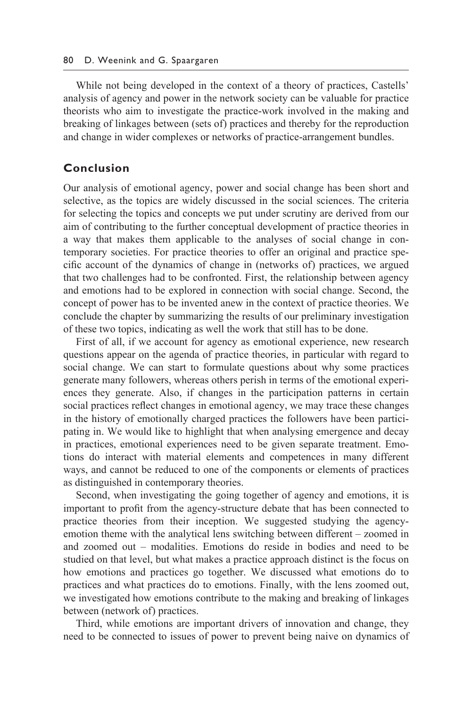While not being developed in the context of a theory of practices, Castells' analysis of agency and power in the network society can be valuable for practice theorists who aim to investigate the practice- work involved in the making and breaking of linkages between (sets of ) practices and thereby for the reproduction and change in wider complexes or networks of practice- arrangement bundles.

## **Conclusion**

Our analysis of emotional agency, power and social change has been short and selective, as the topics are widely discussed in the social sciences. The criteria for selecting the topics and concepts we put under scrutiny are derived from our aim of contributing to the further conceptual development of practice theories in a way that makes them applicable to the analyses of social change in contemporary societies. For practice theories to offer an original and practice specific account of the dynamics of change in (networks of) practices, we argued that two challenges had to be confronted. First, the relationship between agency and emotions had to be explored in connection with social change. Second, the concept of power has to be invented anew in the context of practice theories. We conclude the chapter by summarizing the results of our preliminary investigation of these two topics, indicating as well the work that still has to be done.

 First of all, if we account for agency as emotional experience, new research questions appear on the agenda of practice theories, in particular with regard to social change. We can start to formulate questions about why some practices generate many followers, whereas others perish in terms of the emotional experiences they generate. Also, if changes in the participation patterns in certain social practices reflect changes in emotional agency, we may trace these changes in the history of emotionally charged practices the followers have been participating in. We would like to highlight that when analysing emergence and decay in practices, emotional experiences need to be given separate treatment. Emotions do interact with material elements and competences in many different ways, and cannot be reduced to one of the components or elements of practices as distinguished in contemporary theories.

 Second, when investigating the going together of agency and emotions, it is important to profit from the agency- structure debate that has been connected to practice theories from their inception. We suggested studying the agencyemotion theme with the analytical lens switching between different – zoomed in and zoomed out – modalities. Emotions do reside in bodies and need to be studied on that level, but what makes a practice approach distinct is the focus on how emotions and practices go together. We discussed what emotions do to practices and what practices do to emotions. Finally, with the lens zoomed out, we investigated how emotions contribute to the making and breaking of linkages between (network of) practices.

 Third, while emotions are important drivers of innovation and change, they need to be connected to issues of power to prevent being naive on dynamics of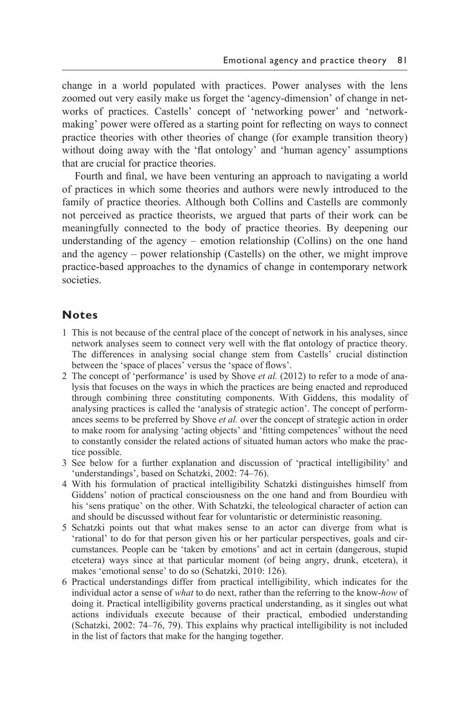change in a world populated with practices. Power analyses with the lens zoomed out very easily make us forget the 'agency- dimension' of change in networks of practices. Castells' concept of 'networking power' and 'networkmaking' power were offered as a starting point for reflecting on ways to connect practice theories with other theories of change (for example transition theory) without doing away with the 'flat ontology' and 'human agency' assumptions that are crucial for practice theories.

 Fourth and final, we have been venturing an approach to navigating a world of practices in which some theories and authors were newly introduced to the family of practice theories. Although both Collins and Castells are commonly not perceived as practice theorists, we argued that parts of their work can be meaningfully connected to the body of practice theories. By deepening our understanding of the agency – emotion relationship (Collins) on the one hand and the agency – power relationship (Castells) on the other, we might improve practice- based approaches to the dynamics of change in contemporary network societies.

## **Notes**

- 1 This is not because of the central place of the concept of network in his analyses, since network analyses seem to connect very well with the flat ontology of practice theory. The differences in analysing social change stem from Castells' crucial distinction between the 'space of places' versus the 'space of flows'.
- 2 The concept of 'performance' is used by Shove *et al.* (2012) to refer to a mode of analysis that focuses on the ways in which the practices are being enacted and reproduced through combining three constituting components. With Giddens, this modality of analysing practices is called the 'analysis of strategic action'. The concept of performances seems to be preferred by Shove *et al.* over the concept of strategic action in order to make room for analysing 'acting objects' and 'fitting competences' without the need to constantly consider the related actions of situated human actors who make the practice possible.
- 3 See below for a further explanation and discussion of 'practical intelligibility' and 'understandings', based on Schatzki, 2002: 74–76).
- 4 With his formulation of practical intelligibility Schatzki distinguishes himself from Giddens' notion of practical consciousness on the one hand and from Bourdieu with his 'sens pratique' on the other. With Schatzki, the teleological character of action can and should be discussed without fear for voluntaristic or deterministic reasoning.
- 5 Schatzki points out that what makes sense to an actor can diverge from what is 'rational' to do for that person given his or her particular perspectives, goals and circumstances. People can be 'taken by emotions' and act in certain (dangerous, stupid etcetera) ways since at that particular moment (of being angry, drunk, etcetera), it makes 'emotional sense' to do so (Schatzki, 2010: 126).
- 6 Practical understandings differ from practical intelligibility, which indicates for the individual actor a sense of *what* to do next, rather than the referring to the know-*how* of doing it. Practical intelligibility governs practical understanding, as it singles out what actions individuals execute because of their practical, embodied understanding (Schatzki, 2002: 74–76, 79). This explains why practical intelligibility is not included in the list of factors that make for the hanging together.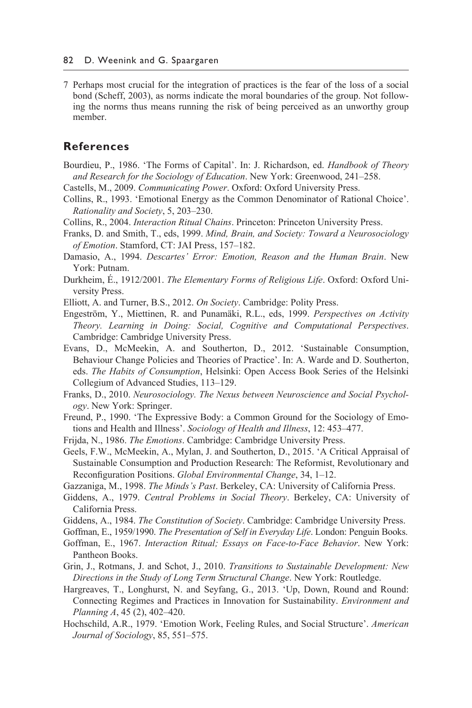7 Perhaps most crucial for the integration of practices is the fear of the loss of a social bond (Scheff, 2003), as norms indicate the moral boundaries of the group. Not following the norms thus means running the risk of being perceived as an unworthy group member.

## **References**

- Bourdieu, P., 1986. 'The Forms of Capital'. In: J. Richardson, ed. *Handbook of Theory and Research for the Sociology of Education*. New York: Greenwood, 241–258.
- Castells, M., 2009. *Communicating Power*. Oxford: Oxford University Press.
- Collins, R., 1993. 'Emotional Energy as the Common Denominator of Rational Choice'. *Rationality and Society*, 5, 203–230.
- Collins, R., 2004. *Interaction Ritual Chains*. Princeton: Princeton University Press.
- Franks, D. and Smith, T., eds, 1999. *Mind, Brain, and Society: Toward a Neurosociology of Emotion*. Stamford, CT: JAI Press, 157–182.
- Damasio, A., 1994. *Descartes' Error: Emotion, Reason and the Human Brain*. New York: Putnam.
- Durkheim, É., 1912/2001. *The Elementary Forms of Religious Life*. Oxford: Oxford University Press.
- Elliott, A. and Turner, B.S., 2012. *On Society*. Cambridge: Polity Press.
- Engeström, Y., Miettinen, R. and Punamäki, R.L., eds, 1999. *Perspectives on Activity Theory. Learning in Doing: Social, Cognitive and Computational Perspectives*. Cambridge: Cambridge University Press.
- Evans, D., McMeekin, A. and Southerton, D., 2012. 'Sustainable Consumption, Behaviour Change Policies and Theories of Practice'. In: A. Warde and D. Southerton, eds. *The Habits of Consumption*, Helsinki: Open Access Book Series of the Helsinki Collegium of Advanced Studies, 113–129.
- Franks, D., 2010. *Neurosociology. The Nexus between Neuroscience and Social Psychology*. New York: Springer.
- Freund, P., 1990. 'The Expressive Body: a Common Ground for the Sociology of Emotions and Health and Illness'. *Sociology of Health and Illness*, 12: 453–477.
- Frijda, N., 1986. *The Emotions*. Cambridge: Cambridge University Press.
- Geels, F.W., McMeekin, A., Mylan, J. and Southerton, D., 2015. 'A Critical Appraisal of Sustainable Consumption and Production Research: The Reformist, Revolutionary and Reconfiguration Positions. *Global Environmental Change*, 34, 1–12.
- Gazzaniga, M., 1998. *The Minds's Past*. Berkeley, CA: University of California Press.
- Giddens, A., 1979. *Central Problems in Social Theory*. Berkeley, CA: University of California Press.
- Giddens, A., 1984. *The Constitution of Society*. Cambridge: Cambridge University Press.
- Goffman, E., 1959/1990. *The Presentation of Self in Everyday Life*. London: Penguin Books.
- Goffman, E., 1967. *Interaction Ritual; Essays on Face-to-Face Behavior*. New York: Pantheon Books.
- Grin, J., Rotmans, J. and Schot, J., 2010. *Transitions to Sustainable Development: New Directions in the Study of Long Term Structural Change*. New York: Routledge.
- Hargreaves, T., Longhurst, N. and Seyfang, G., 2013. 'Up, Down, Round and Round: Connecting Regimes and Practices in Innovation for Sustainability. *Environment and Planning A*, 45 (2), 402–420.
- Hochschild, A.R., 1979. 'Emotion Work, Feeling Rules, and Social Structure'. *American Journal of Sociology*, 85, 551–575.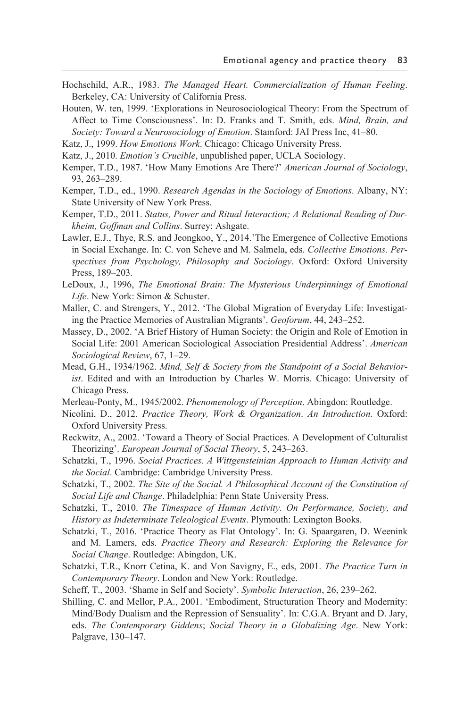- Hochschild, A.R., 1983. *The Managed Heart. Commercialization of Human Feeling*. Berkeley, CA: University of California Press.
- Houten, W. ten, 1999. 'Explorations in Neurosociological Theory: From the Spectrum of Affect to Time Consciousness'. In: D. Franks and T. Smith, eds. *Mind, Brain, and Society: Toward a Neurosociology of Emotion*. Stamford: JAI Press Inc, 41–80.
- Katz, J., 1999. *How Emotions Work*. Chicago: Chicago University Press.
- Katz, J., 2010. *Emotion's Crucible*, unpublished paper, UCLA Sociology.
- Kemper, T.D., 1987. 'How Many Emotions Are There?' *American Journal of Sociology*, 93, 263–289.
- Kemper, T.D., ed., 1990. *Research Agendas in the Sociology of Emotions*. Albany, NY: State University of New York Press.
- Kemper, T.D., 2011. *Status, Power and Ritual Interaction; A Relational Reading of Durkheim, Goffman and Collins*. Surrey: Ashgate.
- Lawler, E.J., Thye, R.S. and Jeongkoo, Y., 2014.'The Emergence of Collective Emotions in Social Exchange. In: C. von Scheve and M. Salmela, eds. *Collective Emotions. Perspectives from Psychology, Philosophy and Sociology*. Oxford: Oxford University Press, 189–203.
- LeDoux, J., 1996, *The Emotional Brain: The Mysterious Underpinnings of Emotional Life*. New York: Simon & Schuster.
- Maller, C. and Strengers, Y., 2012. 'The Global Migration of Everyday Life: Investigating the Practice Memories of Australian Migrants'. *Geoforum*, 44, 243–252.
- Massey, D., 2002. 'A Brief History of Human Society: the Origin and Role of Emotion in Social Life: 2001 American Sociological Association Presidential Address'. *American Sociological Review*, 67, 1–29.
- Mead, G.H., 1934/1962. *Mind, Self & Society from the Standpoint of a Social Behaviorist*. Edited and with an Introduction by Charles W. Morris. Chicago: University of Chicago Press.
- Merleau- Ponty, M., 1945/2002. *Phenomenology of Perception*. Abingdon: Routledge.
- Nicolini, D., 2012. *Practice Theory, Work & Organization*. *An Introduction.* Oxford: Oxford University Press.
- Reckwitz, A., 2002. 'Toward a Theory of Social Practices. A Development of Culturalist Theorizing'. *European Journal of Social Theory*, 5, 243–263.
- Schatzki, T., 1996. *Social Practices. A Wittgensteinian Approach to Human Activity and the Social*. Cambridge: Cambridge University Press.
- Schatzki, T., 2002. *The Site of the Social. A Philosophical Account of the Constitution of Social Life and Change*. Philadelphia: Penn State University Press.
- Schatzki, T., 2010. *The Timespace of Human Activity. On Performance, Society, and History as Indeterminate Teleological Events*. Plymouth: Lexington Books.
- Schatzki, T., 2016. 'Practice Theory as Flat Ontology'. In: G. Spaargaren, D. Weenink and M. Lamers, eds. *Practice Theory and Research: Exploring the Relevance for Social Change*. Routledge: Abingdon, UK.
- Schatzki, T.R., Knorr Cetina, K. and Von Savigny, E., eds, 2001. *The Practice Turn in Contemporary Theory*. London and New York: Routledge.
- Scheff, T., 2003. 'Shame in Self and Society'. *Symbolic Interaction*, 26, 239–262.
- Shilling, C. and Mellor, P.A., 2001. 'Embodiment, Structuration Theory and Modernity: Mind/Body Dualism and the Repression of Sensuality'. In: C.G.A. Bryant and D. Jary, eds. *The Contemporary Giddens*; *Social Theory in a Globalizing Age*. New York: Palgrave, 130–147.